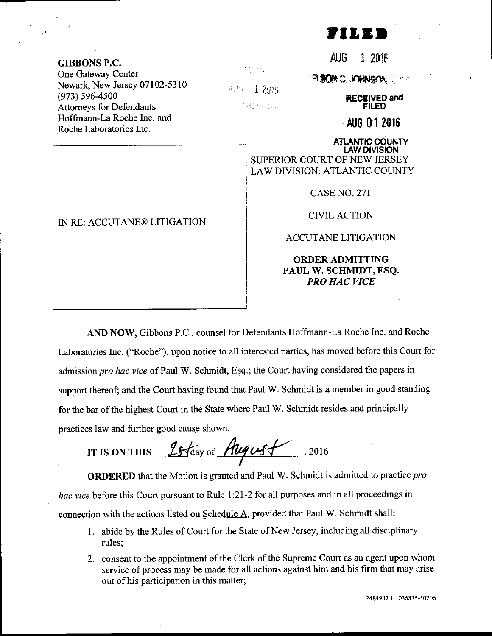

GIBBONS P.C. One Gateway Center Newark, New Jersey 07102-5310 (973) s96-4500 Attomeys for Defendants Hoffmann-La Roche Inc. and Roche Laboratories Inc.

IN RE: ACCUTANE@ LITIGATION

 $\gamma \rightarrow \omega_{\rm eff}$  ,  $\omega_{\rm eff}$ an ah

Ad6 -1 20<sub>16</sub>

TE OGS

AUG 1 2N!F

a.me .m'stsf\$i ..

RECEIVED and FILED

AUo 01 20t6

ATLANTIC COUNTY I.AW DIVISION SUPERIOR COURT OF NEW JERSEY LAW DIVISION: ATLANTIC COUNTY

CASE NO. 27I

CIVIL ACTION

ACCUTANE LITIGATION

## ORDERADMITTING PAUL W. SCHMIDT, ESQ. PRO HAC VICE

AND NOW, Gibbons P.C., counsel for Defendants Hoffmann-La Roche Inc. and Roche Laboratories Inc. ("Roche"), upon notice to all interested parties, has moved before this Court for admission pro hac vice of Paul W. Schmidt, Esq.; the Court having considered the papers in support thereof; and the Court having found that Paul W. Schmidt is a member in good standing for the bar of the highest Court in the State where Paul W. Schmidt resides and principally practices law and further good cause shown,

IT IS ON THIS  $15$  fday of  $\frac{\text{Augus}}{\text{mag}}$ , 2016

ORDERED that the Motion is granted and Paul W. Schmidt is admitted to practice pro hac vice before this Court pursuant to Rule 1:21-2 for all purposes and in all proceedings in connection with the actions listed on Schedule A, provided that Paul W. Schmidt shall:

- <sup>I</sup>. abide by the Rules of Court for the State of New Jersey, including all disciplinary rules;
- 2. consent to the appointment of the Clerk of the Supreme Court as an agent upon whom service of process may be made for all actions against him and his firm that may arise out of his participation in this matter;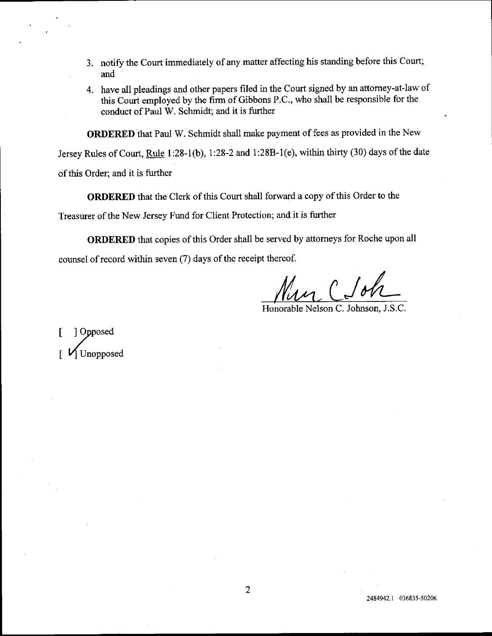- 3. notify the Court immediately of any matter affecting his standing before this Court; and
- 4. have all pleadings and other papers filed in the Court signed by an attorney-at-law of this Court employed by the firm of Gibbons P.C., who shall be responsible for the conduct of Paul W. Schmidt; and it is firther

ORDERED that Paul W. Schmidt shall make payment of fees as provided in the New

Jersey Rules of Court, Rule 1:28-1(b), 1:28-2 and 1:28B-1(e), within thirty (30) days of the date

of this Order; and it is further

ORDERED that the Clerk of this Court shall forward a copy of this Order to the

Treasurer of the New Jersey Fund for Client Protection; and it is further

ORDERED that copies of this Order shall be served by attomeys for Roche upon all counsel of record within seven (7) days of the receipt thereof.

Honorable Nelson C. Johnson, J.S.C.

| Opposed 1 Unopposed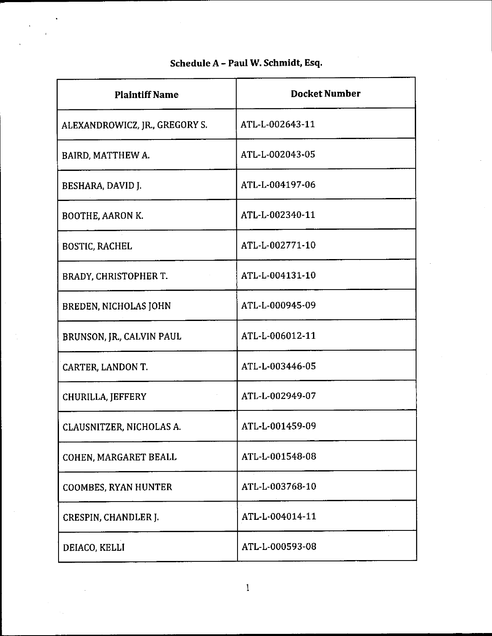| <b>Plaintiff Name</b>          | <b>Docket Number</b> |
|--------------------------------|----------------------|
| ALEXANDROWICZ, JR., GREGORY S. | ATL-L-002643-11      |
| BAIRD, MATTHEW A.              | ATL-L-002043-05      |
| BESHARA, DAVID J.              | ATL-L-004197-06      |
| <b>BOOTHE, AARON K.</b>        | ATL-L-002340-11      |
| <b>BOSTIC, RACHEL</b>          | ATL-L-002771-10      |
| BRADY, CHRISTOPHER T.          | ATL-L-004131-10      |
| BREDEN, NICHOLAS JOHN          | ATL-L-000945-09      |
| BRUNSON, JR., CALVIN PAUL      | ATL-L-006012-11      |
| CARTER, LANDON T.              | ATL-L-003446-05      |
| CHURILLA, JEFFERY              | ATL-L-002949-07      |
| CLAUSNITZER, NICHOLAS A.       | ATL-L-001459-09      |
| COHEN, MARGARET BEALL          | ATL-L-001548-08      |
| <b>COOMBES, RYAN HUNTER</b>    | ATL-L-003768-10      |
| CRESPIN, CHANDLER J.           | ATL-L-004014-11      |
| DEIACO, KELLI                  | ATL-L-000593-08      |

## Schedule A - Paul W. Schmidt, Esq.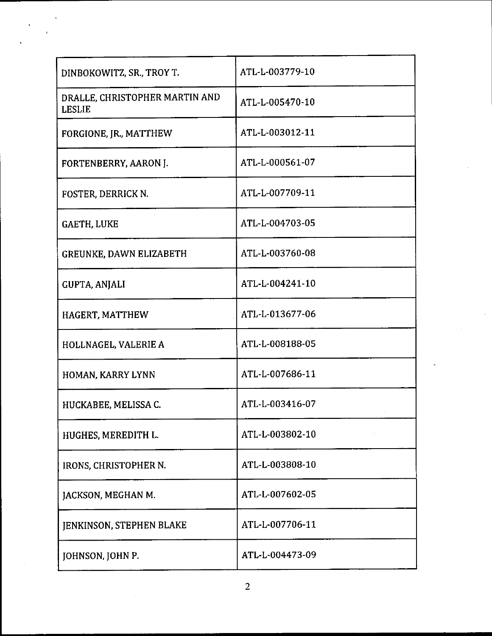| DINBOKOWITZ, SR., TROY T.                       | ATL-L-003779-10 |
|-------------------------------------------------|-----------------|
| DRALLE, CHRISTOPHER MARTIN AND<br><b>LESLIE</b> | ATL-L-005470-10 |
| FORGIONE, JR., MATTHEW                          | ATL-L-003012-11 |
| FORTENBERRY, AARON J.                           | ATL-L-000561-07 |
| FOSTER, DERRICK N.                              | ATL-L-007709-11 |
| <b>GAETH, LUKE</b>                              | ATL-L-004703-05 |
| <b>GREUNKE, DAWN ELIZABETH</b>                  | ATL-L-003760-08 |
| GUPTA, ANJALI                                   | ATL-L-004241-10 |
| HAGERT, MATTHEW                                 | ATL-L-013677-06 |
| HOLLNAGEL, VALERIE A                            | ATL-L-008188-05 |
| HOMAN, KARRY LYNN                               | ATL-L-007686-11 |
| HUCKABEE, MELISSA C.                            | ATL-L-003416-07 |
| HUGHES, MEREDITH L.                             | ATL-L-003802-10 |
| IRONS, CHRISTOPHER N.                           | ATL-L-003808-10 |
| JACKSON, MEGHAN M.                              | ATL-L-007602-05 |
| <b>JENKINSON, STEPHEN BLAKE</b>                 | ATL-L-007706-11 |
| JOHNSON, JOHN P.                                | ATL-L-004473-09 |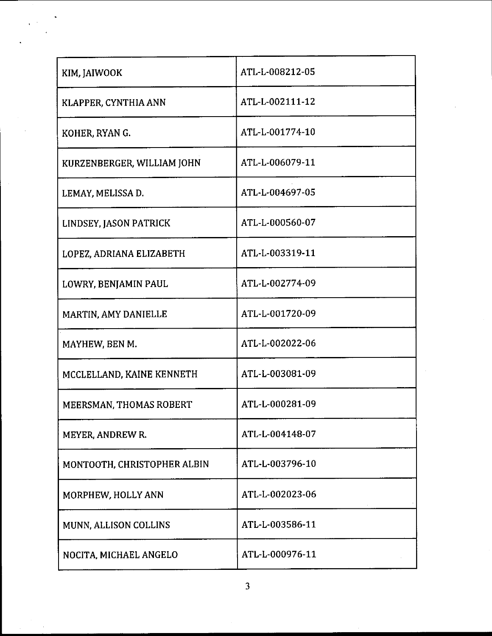| KIM, JAIWOOK                | ATL-L-008212-05 |
|-----------------------------|-----------------|
| KLAPPER, CYNTHIA ANN        | ATL-L-002111-12 |
| KOHER, RYAN G.              | ATL-L-001774-10 |
| KURZENBERGER, WILLIAM JOHN  | ATL-L-006079-11 |
| LEMAY, MELISSA D.           | ATL-L-004697-05 |
| LINDSEY, JASON PATRICK      | ATL-L-000560-07 |
| LOPEZ, ADRIANA ELIZABETH    | ATL-L-003319-11 |
| LOWRY, BENJAMIN PAUL        | ATL-L-002774-09 |
| MARTIN, AMY DANIELLE        | ATL-L-001720-09 |
| MAYHEW, BEN M.              | ATL-L-002022-06 |
| MCCLELLAND, KAINE KENNETH   | ATL-L-003081-09 |
| MEERSMAN, THOMAS ROBERT     | ATL-L-000281-09 |
| MEYER, ANDREW R.            | ATL-L-004148-07 |
| MONTOOTH, CHRISTOPHER ALBIN | ATL-L-003796-10 |
| MORPHEW, HOLLY ANN          | ATL-L-002023-06 |
| MUNN, ALLISON COLLINS       | ATL-L-003586-11 |
| NOCITA, MICHAEL ANGELO      | ATL-L-000976-11 |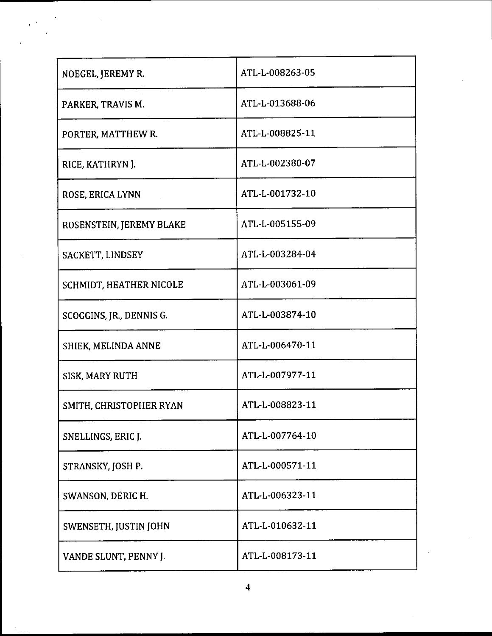| NOEGEL, JEREMY R.        | ATL-L-008263-05 |
|--------------------------|-----------------|
| PARKER, TRAVIS M.        | ATL-L-013688-06 |
| PORTER, MATTHEW R.       | ATL-L-008825-11 |
| RICE, KATHRYN J.         | ATL-L-002380-07 |
| ROSE, ERICA LYNN         | ATL-L-001732-10 |
| ROSENSTEIN, JEREMY BLAKE | ATL-L-005155-09 |
| SACKETT, LINDSEY         | ATL-L-003284-04 |
| SCHMIDT, HEATHER NICOLE  | ATL-L-003061-09 |
| SCOGGINS, JR., DENNIS G. | ATL-L-003874-10 |
| SHIEK, MELINDA ANNE      | ATL-L-006470-11 |
| SISK, MARY RUTH          | ATL-L-007977-11 |
| SMITH, CHRISTOPHER RYAN  | ATL-L-008823-11 |
| SNELLINGS, ERIC J.       | ATL-L-007764-10 |
| STRANSKY, JOSH P.        | ATL-L-000571-11 |
| SWANSON, DERIC H.        | ATL-L-006323-11 |
| SWENSETH, JUSTIN JOHN    | ATL-L-010632-11 |
| VANDE SLUNT, PENNY J.    | ATL-L-008173-11 |